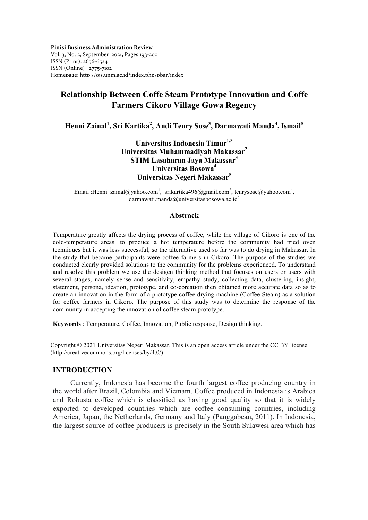**Pinisi Business Administration Review** Vol. 3, No. 2, September 2021**,** Pages 193-200 ISSN (Print): 2656-6524 ISSN (Online) : 2775-7102 Homepage: http://ojs.unm.ac.id/index.php/pbar/index

# **Relationship Between Coffe Steam Prototype Innovation and Coffe Farmers Cikoro Village Gowa Regency**

**Henni Zainal1 , Sri Kartika<sup>2</sup> , Andi Tenry Sose3 , Darmawati Manda4 , Ismail5**

Universitas Indonesia Timur<sup>1,3</sup> **Universitas Muhammadiyah Makassar2 STIM Lasaharan Jaya Makassar3 Universitas Bosowa4 Universitas Negeri Makassar5**

Email :Henni\_zainal@yahoo.com<sup>1</sup>, srikartika496@gmail.com<sup>2</sup>, tenrysose@yahoo.com<sup>4</sup>, darmawati.manda@universitasbosowa.ac.id<sup>5</sup>

#### **Abstrack**

Temperature greatly affects the drying process of coffee, while the village of Cikoro is one of the cold-temperature areas. to produce a hot temperature before the community had tried oven techniques but it was less successful, so the alternative used so far was to do drying in Makassar. In the study that became participants were coffee farmers in Cikoro. The purpose of the studies we conducted clearly provided solutions to the community for the problems experienced. To understand and resolve this problem we use the desigen thinking method that focuses on users or users with several stages, namely sense and sensitivity, empathy study, collecting data, clustering, insight, statement, persona, ideation, prototype, and co-coreation then obtained more accurate data so as to create an innovation in the form of a prototype coffee drying machine (Coffee Steam) as a solution for coffee farmers in Cikoro. The purpose of this study was to determine the response of the community in accepting the innovation of coffee steam prototype.

**Keywords** : Temperature, Coffee, Innovation, Public response, Design thinking.

Copyright © 2021 Universitas Negeri Makassar. This is an open access article under the CC BY license (http://creativecommons.org/licenses/by/4.0/)

# **INTRODUCTION**

Currently, Indonesia has become the fourth largest coffee producing country in the world after Brazil, Colombia and Vietnam. Coffee produced in Indonesia is Arabica and Robusta coffee which is classified as having good quality so that it is widely exported to developed countries which are coffee consuming countries, including America, Japan, the Netherlands, Germany and Italy (Panggabean, 2011). In Indonesia, the largest source of coffee producers is precisely in the South Sulawesi area which has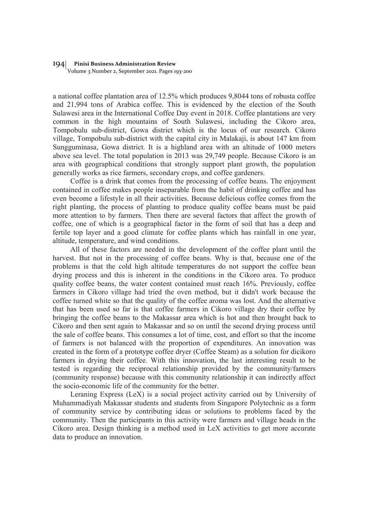Volume 3 Number 2, September 2021. Pages 193-200

a national coffee plantation area of 12.5% which produces 9,8044 tons of robusta coffee and 21,994 tons of Arabica coffee. This is evidenced by the election of the South Sulawesi area in the International Coffee Day event in 2018. Coffee plantations are very common in the high mountains of South Sulawesi, including the Cikoro area, Tompobulu sub-district, Gowa district which is the locus of our research. Cikoro village, Tompobulu sub-district with the capital city in Malakaji, is about 147 km from Sungguminasa, Gowa district. It is a highland area with an altitude of 1000 meters above sea level. The total population in 2013 was 29,749 people. Because Cikoro is an area with geographical conditions that strongly support plant growth, the population generally works as rice farmers, secondary crops, and coffee gardeners.

Coffee is a drink that comes from the processing of coffee beans. The enjoyment contained in coffee makes people inseparable from the habit of drinking coffee and has even become a lifestyle in all their activities. Because delicious coffee comes from the right planting, the process of planting to produce quality coffee beans must be paid more attention to by farmers. Then there are several factors that affect the growth of coffee, one of which is a geographical factor in the form of soil that has a deep and fertile top layer and a good climate for coffee plants which has rainfall in one year, altitude, temperature, and wind conditions.

All of these factors are needed in the development of the coffee plant until the harvest. But not in the processing of coffee beans. Why is that, because one of the problems is that the cold high altitude temperatures do not support the coffee bean drying process and this is inherent in the conditions in the Cikoro area. To produce quality coffee beans, the water content contained must reach 16%. Previously, coffee farmers in Cikoro village had tried the oven method, but it didn't work because the coffee turned white so that the quality of the coffee aroma was lost. And the alternative that has been used so far is that coffee farmers in Cikoro village dry their coffee by bringing the coffee beans to the Makassar area which is hot and then brought back to Cikoro and then sent again to Makassar and so on until the second drying process until the sale of coffee beans. This consumes a lot of time, cost, and effort so that the income of farmers is not balanced with the proportion of expenditures. An innovation was created in the form of a prototype coffee dryer (Coffee Steam) as a solution for dicikoro farmers in drying their coffee. With this innovation, the last interesting result to be tested is regarding the reciprocal relationship provided by the community/farmers (community response) because with this community relationship it can indirectly affect the socio-economic life of the community for the better.

Leraning Express (LeX) is a social project activity carried out by University of Muhammadiyah Makassar students and students from Singapore Polytechnic as a form of community service by contributing ideas or solutions to problems faced by the community. Then the participants in this activity were farmers and village heads in the Cikoro area. Design thinking is a method used in LeX activities to get more accurate data to produce an innovation.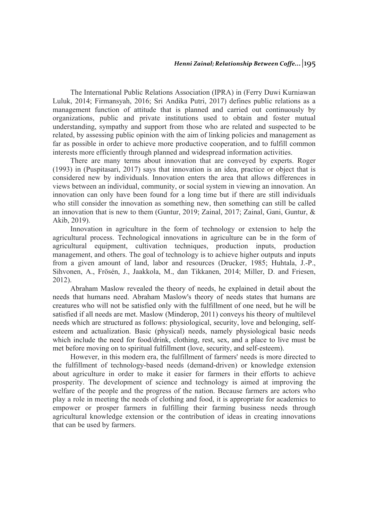The International Public Relations Association (IPRA) in (Ferry Duwi Kurniawan Luluk, 2014; Firmansyah, 2016; Sri Andika Putri, 2017) defines public relations as a management function of attitude that is planned and carried out continuously by organizations, public and private institutions used to obtain and foster mutual understanding, sympathy and support from those who are related and suspected to be related, by assessing public opinion with the aim of linking policies and management as far as possible in order to achieve more productive cooperation, and to fulfill common interests more efficiently through planned and widespread information activities.

There are many terms about innovation that are conveyed by experts. Roger (1993) in (Puspitasari, 2017) says that innovation is an idea, practice or object that is considered new by individuals. Innovation enters the area that allows differences in views between an individual, community, or social system in viewing an innovation. An innovation can only have been found for a long time but if there are still individuals who still consider the innovation as something new, then something can still be called an innovation that is new to them (Guntur, 2019; Zainal, 2017; Zainal, Gani, Guntur, & Akib, 2019).

Innovation in agriculture in the form of technology or extension to help the agricultural process. Technological innovations in agriculture can be in the form of agricultural equipment, cultivation techniques, production inputs, production management, and others. The goal of technology is to achieve higher outputs and inputs from a given amount of land, labor and resources (Drucker, 1985; Huhtala, J.-P., Sihvonen, A., Frösén, J., Jaakkola, M., dan Tikkanen, 2014; Miller, D. and Friesen, 2012).

Abraham Maslow revealed the theory of needs, he explained in detail about the needs that humans need. Abraham Maslow's theory of needs states that humans are creatures who will not be satisfied only with the fulfillment of one need, but he will be satisfied if all needs are met. Maslow (Minderop, 2011) conveys his theory of multilevel needs which are structured as follows: physiological, security, love and belonging, selfesteem and actualization. Basic (physical) needs, namely physiological basic needs which include the need for food/drink, clothing, rest, sex, and a place to live must be met before moving on to spiritual fulfillment (love, security, and self-esteem).

However, in this modern era, the fulfillment of farmers' needs is more directed to the fulfillment of technology-based needs (demand-driven) or knowledge extension about agriculture in order to make it easier for farmers in their efforts to achieve prosperity. The development of science and technology is aimed at improving the welfare of the people and the progress of the nation. Because farmers are actors who play a role in meeting the needs of clothing and food, it is appropriate for academics to empower or prosper farmers in fulfilling their farming business needs through agricultural knowledge extension or the contribution of ideas in creating innovations that can be used by farmers.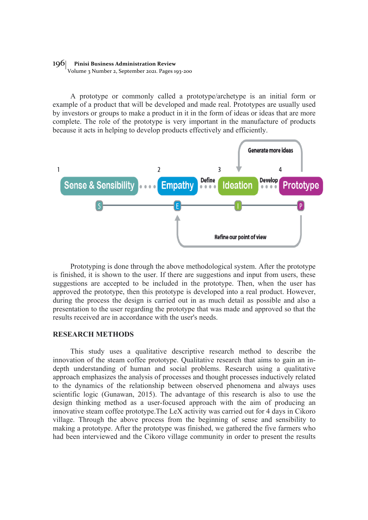Volume 3 Number 2, September 2021. Pages 193-200

A prototype or commonly called a prototype/archetype is an initial form or example of a product that will be developed and made real. Prototypes are usually used by investors or groups to make a product in it in the form of ideas or ideas that are more complete. The role of the prototype is very important in the manufacture of products because it acts in helping to develop products effectively and efficiently.



Prototyping is done through the above methodological system. After the prototype is finished, it is shown to the user. If there are suggestions and input from users, these suggestions are accepted to be included in the prototype. Then, when the user has approved the prototype, then this prototype is developed into a real product. However, during the process the design is carried out in as much detail as possible and also a presentation to the user regarding the prototype that was made and approved so that the results received are in accordance with the user's needs.

#### **RESEARCH METHODS**

This study uses a qualitative descriptive research method to describe the innovation of the steam coffee prototype. Qualitative research that aims to gain an indepth understanding of human and social problems. Research using a qualitative approach emphasizes the analysis of processes and thought processes inductively related to the dynamics of the relationship between observed phenomena and always uses scientific logic (Gunawan, 2015). The advantage of this research is also to use the design thinking method as a user-focused approach with the aim of producing an innovative steam coffee prototype.The LeX activity was carried out for 4 days in Cikoro village. Through the above process from the beginning of sense and sensibility to making a prototype. After the prototype was finished, we gathered the five farmers who had been interviewed and the Cikoro village community in order to present the results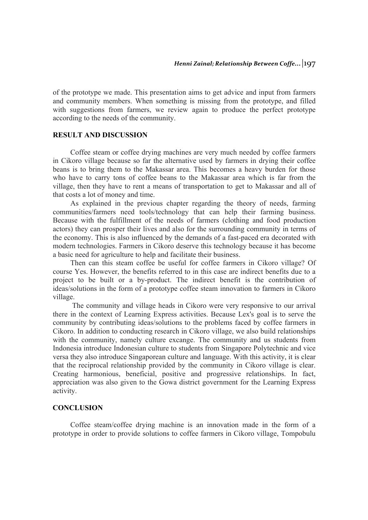of the prototype we made. This presentation aims to get advice and input from farmers and community members. When something is missing from the prototype, and filled with suggestions from farmers, we review again to produce the perfect prototype according to the needs of the community.

## **RESULT AND DISCUSSION**

Coffee steam or coffee drying machines are very much needed by coffee farmers in Cikoro village because so far the alternative used by farmers in drying their coffee beans is to bring them to the Makassar area. This becomes a heavy burden for those who have to carry tons of coffee beans to the Makassar area which is far from the village, then they have to rent a means of transportation to get to Makassar and all of that costs a lot of money and time.

As explained in the previous chapter regarding the theory of needs, farming communities/farmers need tools/technology that can help their farming business. Because with the fulfillment of the needs of farmers (clothing and food production actors) they can prosper their lives and also for the surrounding community in terms of the economy. This is also influenced by the demands of a fast-paced era decorated with modern technologies. Farmers in Cikoro deserve this technology because it has become a basic need for agriculture to help and facilitate their business.

Then can this steam coffee be useful for coffee farmers in Cikoro village? Of course Yes. However, the benefits referred to in this case are indirect benefits due to a project to be built or a by-product. The indirect benefit is the contribution of ideas/solutions in the form of a prototype coffee steam innovation to farmers in Cikoro village.

The community and village heads in Cikoro were very responsive to our arrival there in the context of Learning Express activities. Because Lex's goal is to serve the community by contributing ideas/solutions to the problems faced by coffee farmers in Cikoro. In addition to conducting research in Cikoro village, we also build relationships with the community, namely culture excange. The community and us students from Indonesia introduce Indonesian culture to students from Singapore Polytechnic and vice versa they also introduce Singaporean culture and language. With this activity, it is clear that the reciprocal relationship provided by the community in Cikoro village is clear. Creating harmonious, beneficial, positive and progressive relationships. In fact, appreciation was also given to the Gowa district government for the Learning Express activity.

## **CONCLUSION**

Coffee steam/coffee drying machine is an innovation made in the form of a prototype in order to provide solutions to coffee farmers in Cikoro village, Tompobulu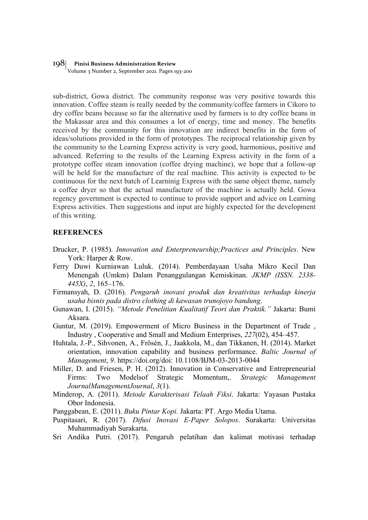Volume 3 Number 2, September 2021. Pages 193-200

sub-district, Gowa district. The community response was very positive towards this innovation. Coffee steam is really needed by the community/coffee farmers in Cikoro to dry coffee beans because so far the alternative used by farmers is to dry coffee beans in the Makassar area and this consumes a lot of energy, time and money. The benefits received by the community for this innovation are indirect benefits in the form of ideas/solutions provided in the form of prototypes. The reciprocal relationship given by the community to the Learning Express activity is very good, harmonious, positive and advanced. Referring to the results of the Learning Express activity in the form of a prototype coffee steam innovation (coffee drying machine), we hope that a follow-up will be held for the manufacture of the real machine. This activity is expected to be continuous for the next batch of Learninig Express with the same object theme, namely a coffee dryer so that the actual manufacture of the machine is actually held. Gowa regency government is expected to continue to provide support and advice on Learning Express activities. Then suggestions and input are highly expected for the development of this writing.

# **REFERENCES**

- Drucker, P. (1985). *Innovation and Enterpreneurship;Practices and Principles*. New York: Harper & Row.
- Ferry Duwi Kurniawan Luluk. (2014). Pemberdayaan Usaha Mikro Kecil Dan Menengah (Umkm) Dalam Penanggulangan Kemiskinan. *JKMP (ISSN. 2338- 445X)*, *2*, 165–176.
- Firmansyah, D. (2016). *Pengaruh inovasi produk dan kreativitas terhadap kinerja usaha bisnis pada distro clothing di kawasan trunojoyo bandung*.
- Gunawan, I. (2015). *"Metode Penelitian Kualitatif Teori dan Praktik."* Jakarta: Bumi Aksara.
- Guntur, M. (2019). Empowerment of Micro Business in the Department of Trade , Industry , Cooperative and Small and Medium Enterprises, *227*(02), 454–457.
- Huhtala, J.-P., Sihvonen, A., Frösén, J., Jaakkola, M., dan Tikkanen, H. (2014). Market orientation, innovation capability and business performance. *Baltic Journal of Management*, *9*. https://doi.org/doi: 10.1108/BJM-03-2013-0044
- Miller, D. and Friesen, P. H. (2012). Innovation in Conservative and Entrepreneurial Firms: Two Modelsof Strategic Momentum,. *Strategic Management JournalManagementJournal*, *3*(1).
- Minderop, A. (2011). *Metode Karakterisasi Telaah Fiksi*. Jakarta: Yayasan Pustaka Obor Indonesia.
- Panggabean, E. (2011). *Buku Pintar Kopi.* Jakarta: PT. Argo Media Utama.
- Puspitasari, R. (2017). *Difusi Inovasi E-Paper Solopos*. Surakarta: Universitas Muhammadiyah Surakarta.
- Sri Andika Putri. (2017). Pengaruh pelatihan dan kalimat motivasi terhadap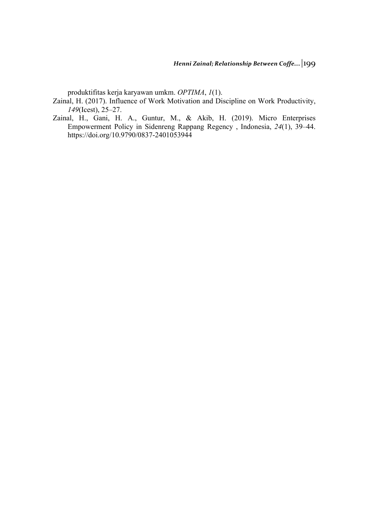produktifitas kerja karyawan umkm. *OPTIMA*, *1*(1).

- Zainal, H. (2017). Influence of Work Motivation and Discipline on Work Productivity, *149*(Icest), 25–27.
- Zainal, H., Gani, H. A., Guntur, M., & Akib, H. (2019). Micro Enterprises Empowerment Policy in Sidenreng Rappang Regency , Indonesia, *24*(1), 39–44. https://doi.org/10.9790/0837-2401053944